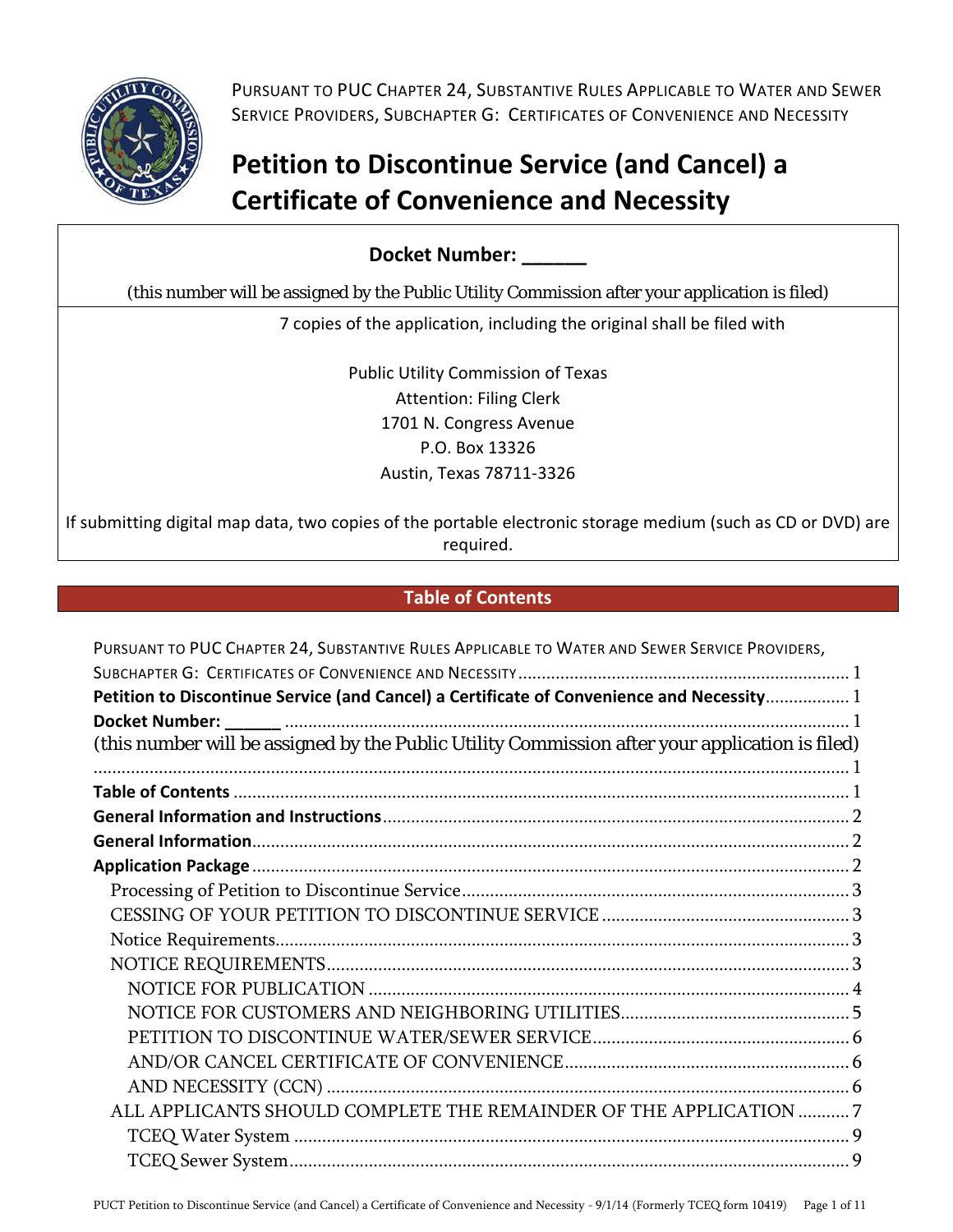

 PURSUANT TO PUC CHAPTER 24, SUBSTANTIVE RULES APPLICABLE TO WATER AND SEWER SERVICE PROVIDERS, SUBCHAPTER G: CERTIFICATES OF CONVENIENCE AND NECESSITY

## **Petition to Discontinue Service (and Cancel) a Certificate of Convenience and Necessity**

**Docket Number: \_\_\_\_\_\_** 

(this number will be assigned by the Public Utility Commission after your application is filed)

7 copies of the application, including the original shall be filed with

 Public Utility Commission of Texas Attention: Filing Clerk 1701 N. Congress Avenue P.O. Box 13326 Austin, Texas 78711‐3326

 If submitting digital map data, two copies of the portable electronic storage medium (such as CD or DVD) are required.

## **Table of Contents**

| PURSUANT TO PUC CHAPTER 24, SUBSTANTIVE RULES APPLICABLE TO WATER AND SEWER SERVICE PROVIDERS,  |  |
|-------------------------------------------------------------------------------------------------|--|
|                                                                                                 |  |
| Petition to Discontinue Service (and Cancel) a Certificate of Convenience and Necessity 1       |  |
|                                                                                                 |  |
| (this number will be assigned by the Public Utility Commission after your application is filed) |  |
|                                                                                                 |  |
|                                                                                                 |  |
|                                                                                                 |  |
|                                                                                                 |  |
|                                                                                                 |  |
|                                                                                                 |  |
|                                                                                                 |  |
|                                                                                                 |  |
|                                                                                                 |  |
|                                                                                                 |  |
|                                                                                                 |  |
|                                                                                                 |  |
|                                                                                                 |  |
|                                                                                                 |  |
| ALL APPLICANTS SHOULD COMPLETE THE REMAINDER OF THE APPLICATION 7                               |  |
|                                                                                                 |  |
|                                                                                                 |  |
|                                                                                                 |  |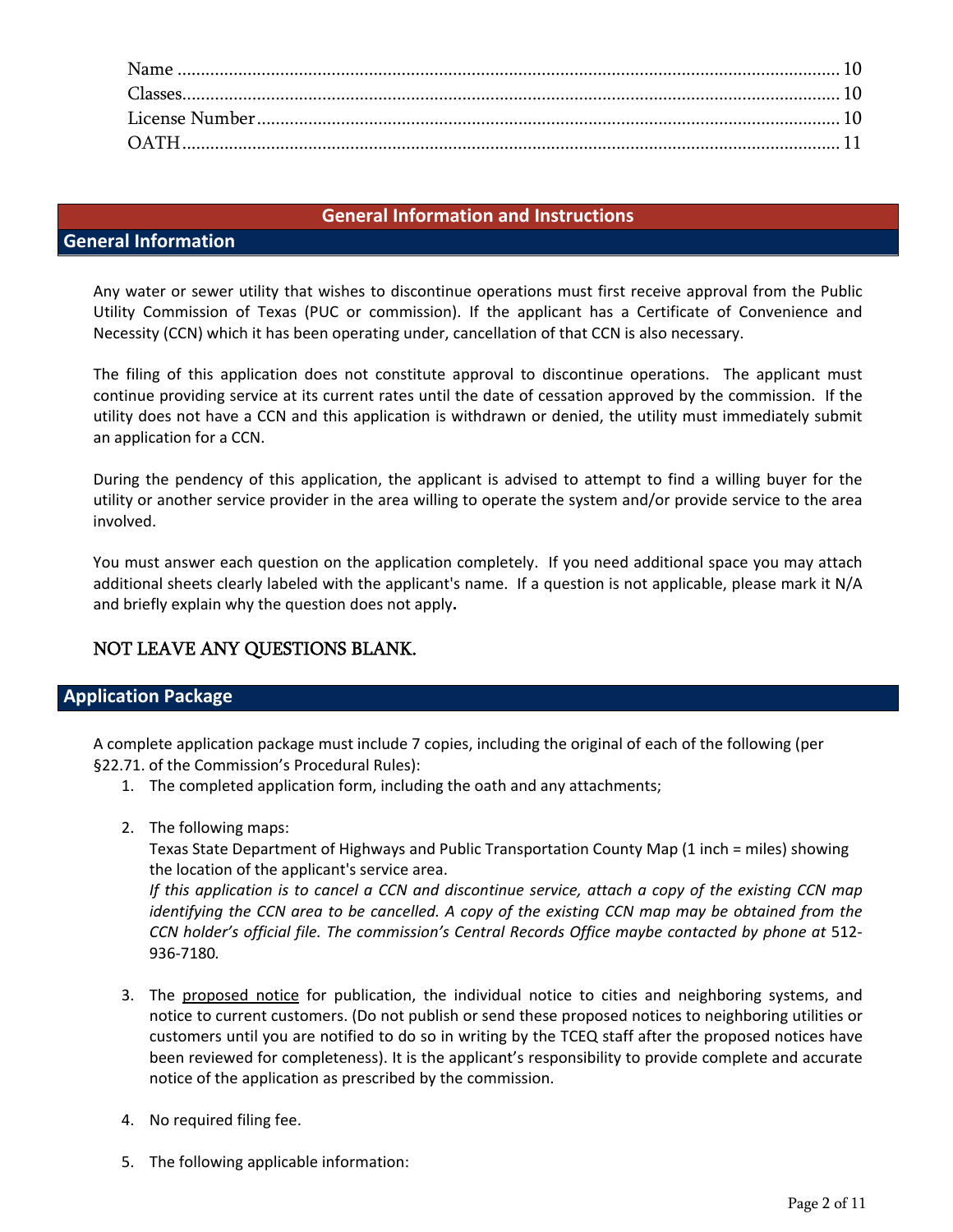#### **General Information and Instructions**

## **General Information**

 Any water or sewer utility that wishes to discontinue operations must first receive approval from the Public Utility Commission of Texas (PUC or commission). If the applicant has a Certificate of Convenience and Necessity (CCN) which it has been operating under, cancellation of that CCN is also necessary.

 The filing of this application does not constitute approval to discontinue operations. The applicant must continue providing service at its current rates until the date of cessation approved by the commission. If the utility does not have a CCN and this application is withdrawn or denied, the utility must immediately submit an application for a CCN.

 During the pendency of this application, the applicant is advised to attempt to find a willing buyer for the utility or another service provider in the area willing to operate the system and/or provide service to the area involved.

 You must answer each question on the application completely. If you need additional space you may attach additional sheets clearly labeled with the applicant's name. If a question is not applicable, please mark it N/A and briefly explain why the question does not apply**.** 

## NOT LEAVE ANY QUESTIONS BLANK.

### **Application Package**

 A complete application package must include 7 copies, including the original of each of the following (per §22.71. of the Commission's Procedural Rules):

- 1. The completed application form, including the oath and any attachments;
- 2. The following maps:

 Texas State Department of Highways and Public Transportation County Map (1 inch = miles) showing  the location of the applicant's service area.

If this application is to cancel a CCN and discontinue service, attach a copy of the existing CCN map identifying the CCN area to be cancelled. A copy of the existing CCN map may be obtained from the -CCN holder's official file. The commission's Central Records Office maybe contacted by phone at 512 936‐7180*.*

- 3. The proposed notice for publication, the individual notice to cities and neighboring systems, and notice to current customers. (Do not publish or send these proposed notices to neighboring utilities or customers until you are notified to do so in writing by the TCEQ staff after the proposed notices have been reviewed for completeness). It is the applicant's responsibility to provide complete and accurate notice of the application as prescribed by the commission.
- 4. No required filing fee.
- 5. The following applicable information: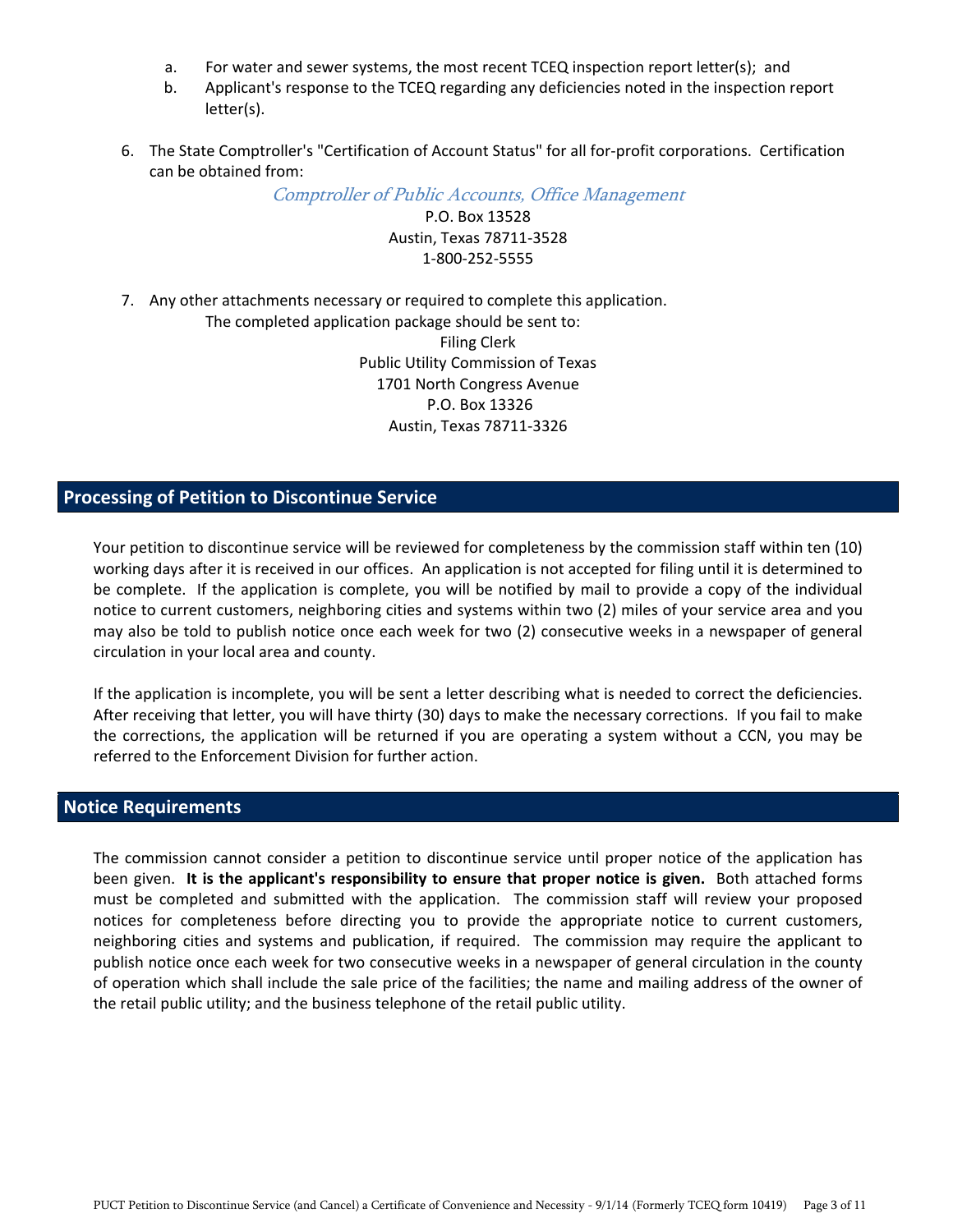- a. For water and sewer systems, the most recent TCEQ inspection report letter(s); and
- b. Applicant's response to the TCEQ regarding any deficiencies noted in the inspection report letter(s).
- 6. The State Comptroller's "Certification of Account Status" for all for-profit corporations. Certification can be obtained from:

Comptroller of Public Accounts, Office Management

 P.O. Box 13528 Austin, Texas 78711‐3528 1‐800‐252‐5555

7. Any other attachments necessary or required to complete this application.

 The completed application package should be sent to: Filing Clerk Public Utility Commission of Texas 1701 North Congress Avenue P.O. Box 13326 Austin, Texas 78711‐3326

## **Processing of Petition to Discontinue Service**

 Your petition to discontinue service will be reviewed for completeness by the commission staff within ten (10) working days after it is received in our offices. An application is not accepted for filing until it is determined to be complete. If the application is complete, you will be notified by mail to provide a copy of the individual notice to current customers, neighboring cities and systems within two (2) miles of your service area and you may also be told to publish notice once each week for two (2) consecutive weeks in a newspaper of general circulation in your local area and county.

 If the application is incomplete, you will be sent a letter describing what is needed to correct the deficiencies. After receiving that letter, you will have thirty (30) days to make the necessary corrections. If you fail to make the corrections, the application will be returned if you are operating a system without a CCN, you may be referred to the Enforcement Division for further action.

### **Notice Requirements**

 The commission cannot consider a petition to discontinue service until proper notice of the application has been given. **It is the applicant's responsibility to ensure that proper notice is given.** Both attached forms must be completed and submitted with the application. The commission staff will review your proposed notices for completeness before directing you to provide the appropriate notice to current customers, neighboring cities and systems and publication, if required. The commission may require the applicant to publish notice once each week for two consecutive weeks in a newspaper of general circulation in the county of operation which shall include the sale price of the facilities; the name and mailing address of the owner of the retail public utility; and the business telephone of the retail public utility.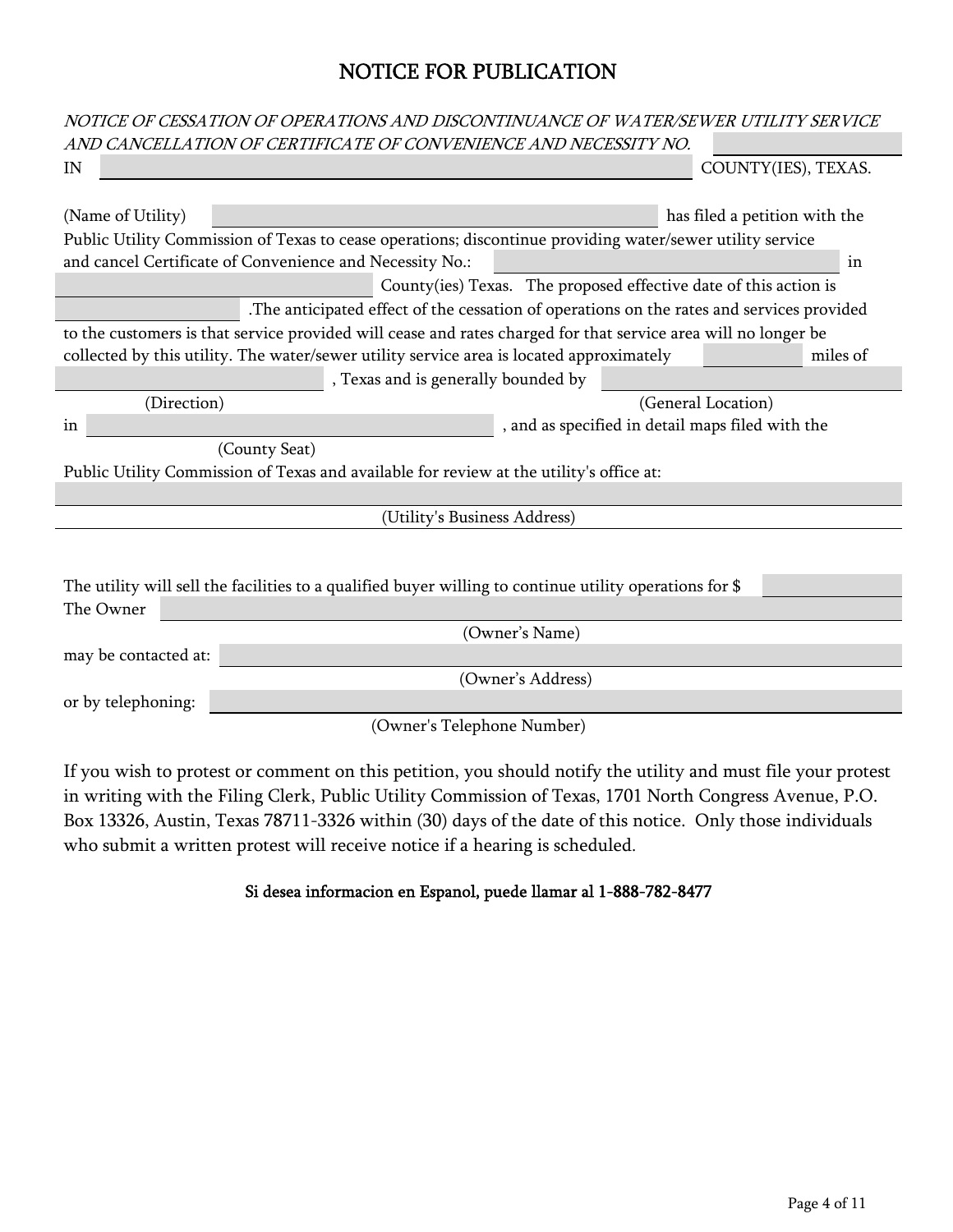## NOTICE FOR PUBLICATION

|                      | NOTICE OF CESSATION OF OPERATIONS AND DISCONTINUANCE OF WATER/SEWER UTILITY SERVICE                            |    |
|----------------------|----------------------------------------------------------------------------------------------------------------|----|
|                      | AND CANCELLATION OF CERTIFICATE OF CONVENIENCE AND NECESSITY NO.                                               |    |
| IN                   | COUNTY(IES), TEXAS.                                                                                            |    |
|                      |                                                                                                                |    |
| (Name of Utility)    | has filed a petition with the                                                                                  |    |
|                      | Public Utility Commission of Texas to cease operations; discontinue providing water/sewer utility service      |    |
|                      | and cancel Certificate of Convenience and Necessity No.:                                                       | in |
|                      | County(ies) Texas. The proposed effective date of this action is                                               |    |
|                      | .The anticipated effect of the cessation of operations on the rates and services provided                      |    |
|                      | to the customers is that service provided will cease and rates charged for that service area will no longer be |    |
|                      | collected by this utility. The water/sewer utility service area is located approximately<br>miles of           |    |
|                      | , Texas and is generally bounded by                                                                            |    |
| (Direction)          | (General Location)                                                                                             |    |
| in                   | , and as specified in detail maps filed with the                                                               |    |
|                      | (County Seat)                                                                                                  |    |
|                      | Public Utility Commission of Texas and available for review at the utility's office at:                        |    |
|                      |                                                                                                                |    |
|                      | (Utility's Business Address)                                                                                   |    |
|                      |                                                                                                                |    |
|                      |                                                                                                                |    |
|                      | The utility will sell the facilities to a qualified buyer willing to continue utility operations for \$        |    |
| The Owner            |                                                                                                                |    |
|                      | (Owner's Name)                                                                                                 |    |
| may be contacted at: |                                                                                                                |    |
|                      | (Owner's Address)                                                                                              |    |
| or by telephoning:   |                                                                                                                |    |
|                      | (Owner's Telephone Number)                                                                                     |    |
|                      |                                                                                                                |    |
|                      |                                                                                                                |    |

If you wish to protest or comment on this petition, you should notify the utility and must file your protest in writing with the Filing Clerk, Public Utility Commission of Texas, 1701 North Congress Avenue, P.O. Box 13326, Austin, Texas 78711-3326 within (30) days of the date of this notice. Only those individuals who submit a written protest will receive notice if a hearing is scheduled.

## Si desea informacion en Espanol, puede llamar al 1-888-782-8477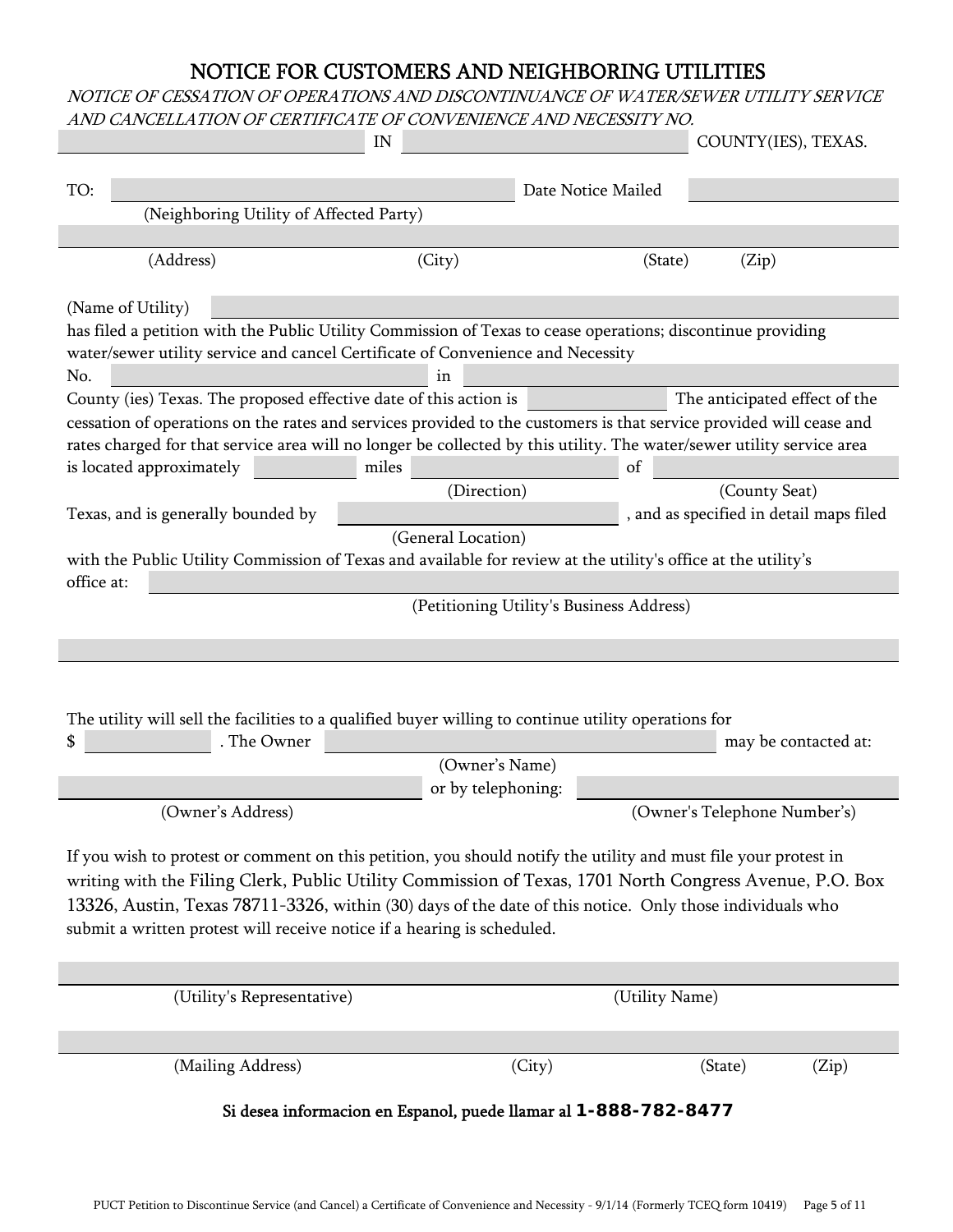## NOTICE FOR CUSTOMERS AND NEIGHBORING UTILITIES

### NOTICE OF CESSATION OF OPERATIONS AND DISCONTINUANCE OF WATER/SEWER UTILITY SERVICE AND CANCELLATION OF CERTIFICATE OF CONVENIENCE AND NECESSITY NO.

×

|                                                                                                                                                   | IN                                                              |                                          | COUNTY(IES), TEXAS.                     |  |  |
|---------------------------------------------------------------------------------------------------------------------------------------------------|-----------------------------------------------------------------|------------------------------------------|-----------------------------------------|--|--|
|                                                                                                                                                   |                                                                 |                                          |                                         |  |  |
| TO:<br>(Neighboring Utility of Affected Party)                                                                                                    |                                                                 | Date Notice Mailed                       |                                         |  |  |
|                                                                                                                                                   |                                                                 |                                          |                                         |  |  |
| (Address)                                                                                                                                         | (City)                                                          | (State)                                  | (Zip)                                   |  |  |
| (Name of Utility)<br>has filed a petition with the Public Utility Commission of Texas to cease operations; discontinue providing                  |                                                                 |                                          |                                         |  |  |
| water/sewer utility service and cancel Certificate of Convenience and Necessity                                                                   |                                                                 |                                          |                                         |  |  |
| No.                                                                                                                                               | ın                                                              |                                          |                                         |  |  |
| County (ies) Texas. The proposed effective date of this action is                                                                                 |                                                                 |                                          | The anticipated effect of the           |  |  |
| cessation of operations on the rates and services provided to the customers is that service provided will cease and                               |                                                                 |                                          |                                         |  |  |
| rates charged for that service area will no longer be collected by this utility. The water/sewer utility service area<br>is located approximately | miles                                                           | of                                       |                                         |  |  |
|                                                                                                                                                   | (Direction)                                                     |                                          | (County Seat)                           |  |  |
| Texas, and is generally bounded by                                                                                                                |                                                                 |                                          | , and as specified in detail maps filed |  |  |
|                                                                                                                                                   | (General Location)                                              |                                          |                                         |  |  |
| with the Public Utility Commission of Texas and available for review at the utility's office at the utility's                                     |                                                                 |                                          |                                         |  |  |
| office at:                                                                                                                                        |                                                                 |                                          |                                         |  |  |
|                                                                                                                                                   |                                                                 | (Petitioning Utility's Business Address) |                                         |  |  |
|                                                                                                                                                   |                                                                 |                                          |                                         |  |  |
|                                                                                                                                                   |                                                                 |                                          |                                         |  |  |
|                                                                                                                                                   |                                                                 |                                          |                                         |  |  |
| The utility will sell the facilities to a qualified buyer willing to continue utility operations for                                              |                                                                 |                                          |                                         |  |  |
| . The Owner                                                                                                                                       |                                                                 |                                          | may be contacted at:                    |  |  |
|                                                                                                                                                   | (Owner's Name)<br>or by telephoning:                            |                                          |                                         |  |  |
| (Owner's Address)                                                                                                                                 |                                                                 |                                          | (Owner's Telephone Number's)            |  |  |
|                                                                                                                                                   |                                                                 |                                          |                                         |  |  |
| If you wish to protest or comment on this petition, you should notify the utility and must file your protest in                                   |                                                                 |                                          |                                         |  |  |
| writing with the Filing Clerk, Public Utility Commission of Texas, 1701 North Congress Avenue, P.O. Box                                           |                                                                 |                                          |                                         |  |  |
| 13326, Austin, Texas 78711-3326, within (30) days of the date of this notice. Only those individuals who                                          |                                                                 |                                          |                                         |  |  |
| submit a written protest will receive notice if a hearing is scheduled.                                                                           |                                                                 |                                          |                                         |  |  |
|                                                                                                                                                   |                                                                 |                                          |                                         |  |  |
| (Utility's Representative)                                                                                                                        |                                                                 | (Utility Name)                           |                                         |  |  |
|                                                                                                                                                   |                                                                 |                                          |                                         |  |  |
|                                                                                                                                                   |                                                                 |                                          |                                         |  |  |
| (Mailing Address)                                                                                                                                 | (City)                                                          |                                          | (State)<br>(Zip)                        |  |  |
|                                                                                                                                                   | Si desea informacion en Espanol, puede llamar al 1-888-782-8477 |                                          |                                         |  |  |
|                                                                                                                                                   |                                                                 |                                          |                                         |  |  |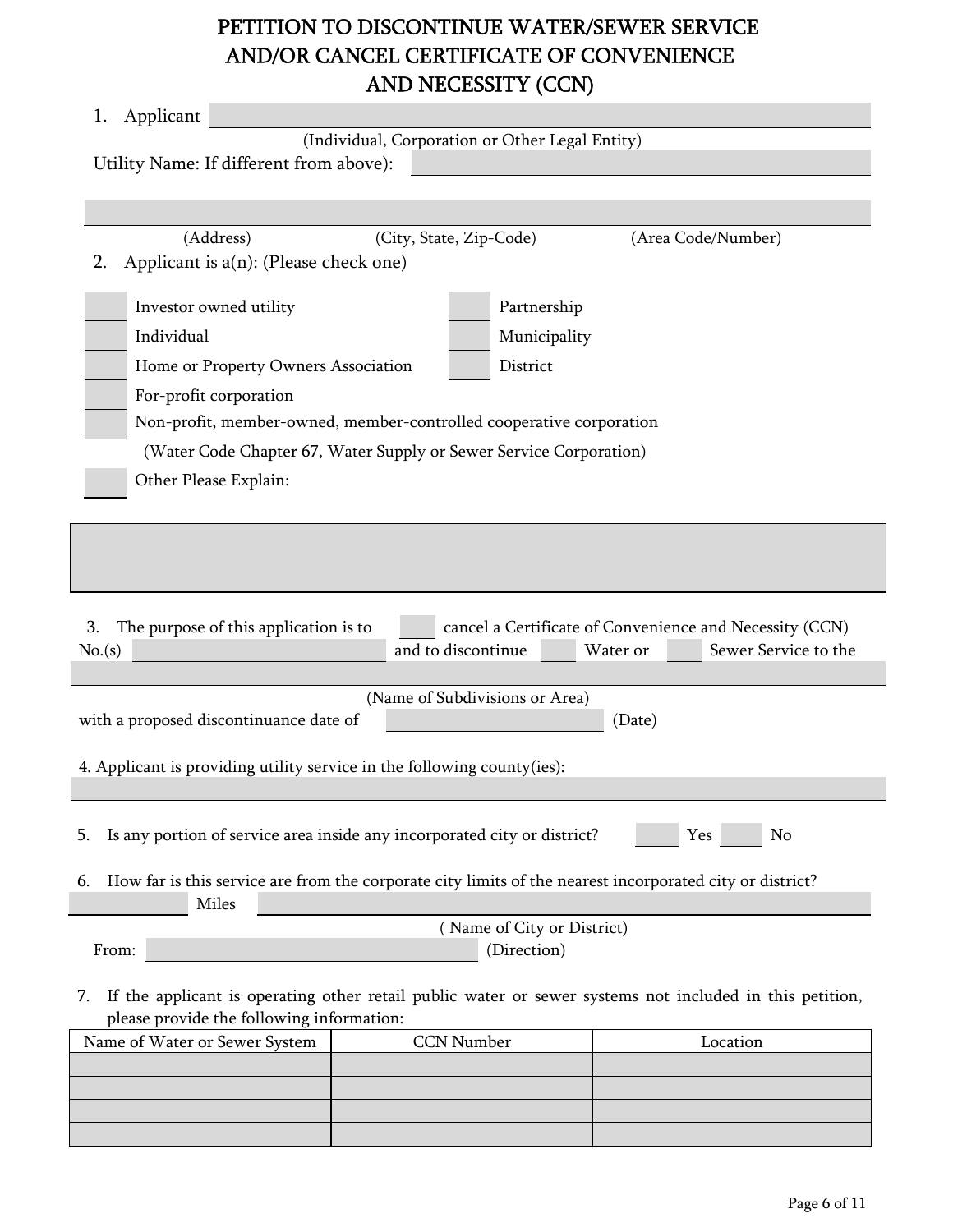# AND/OR CANCEL CERTIFICATE OF CONVENIENCE AND NECESSITY (CCN) PETITION TO DISCONTINUE WATER/SEWER SERVICE

| Applicant<br>1.                                                                                                                                                            |                                |              |                    |  |
|----------------------------------------------------------------------------------------------------------------------------------------------------------------------------|--------------------------------|--------------|--------------------|--|
| (Individual, Corporation or Other Legal Entity)<br>Utility Name: If different from above):                                                                                 |                                |              |                    |  |
|                                                                                                                                                                            |                                |              |                    |  |
|                                                                                                                                                                            |                                |              |                    |  |
| (Address)<br>Applicant is $a(n)$ : (Please check one)<br>2.                                                                                                                | (City, State, Zip-Code)        |              | (Area Code/Number) |  |
| Investor owned utility                                                                                                                                                     |                                | Partnership  |                    |  |
| Individual                                                                                                                                                                 |                                | Municipality |                    |  |
| Home or Property Owners Association                                                                                                                                        |                                | District     |                    |  |
| For-profit corporation                                                                                                                                                     |                                |              |                    |  |
| Non-profit, member-owned, member-controlled cooperative corporation                                                                                                        |                                |              |                    |  |
| (Water Code Chapter 67, Water Supply or Sewer Service Corporation)                                                                                                         |                                |              |                    |  |
| Other Please Explain:                                                                                                                                                      |                                |              |                    |  |
|                                                                                                                                                                            |                                |              |                    |  |
|                                                                                                                                                                            |                                |              |                    |  |
| The purpose of this application is to<br>cancel a Certificate of Convenience and Necessity (CCN)<br>3.<br>and to discontinue<br>Water or<br>Sewer Service to the<br>No.(s) |                                |              |                    |  |
|                                                                                                                                                                            |                                |              |                    |  |
| with a proposed discontinuance date of                                                                                                                                     | (Name of Subdivisions or Area) |              | (Date)             |  |
| 4. Applicant is providing utility service in the following county(ies):                                                                                                    |                                |              |                    |  |
|                                                                                                                                                                            |                                |              |                    |  |
| Is any portion of service area inside any incorporated city or district?<br>Yes<br>No<br>5.                                                                                |                                |              |                    |  |
| How far is this service are from the corporate city limits of the nearest incorporated city or district?<br>6.<br><b>Miles</b>                                             |                                |              |                    |  |
| (Name of City or District)                                                                                                                                                 |                                |              |                    |  |
| (Direction)<br>From:                                                                                                                                                       |                                |              |                    |  |
| If the applicant is operating other retail public water or sewer systems not included in this petition,<br>7.<br>please provide the following information:                 |                                |              |                    |  |
| Name of Water or Sewer System                                                                                                                                              | <b>CCN Number</b>              |              | Location           |  |
|                                                                                                                                                                            |                                |              |                    |  |
|                                                                                                                                                                            |                                |              |                    |  |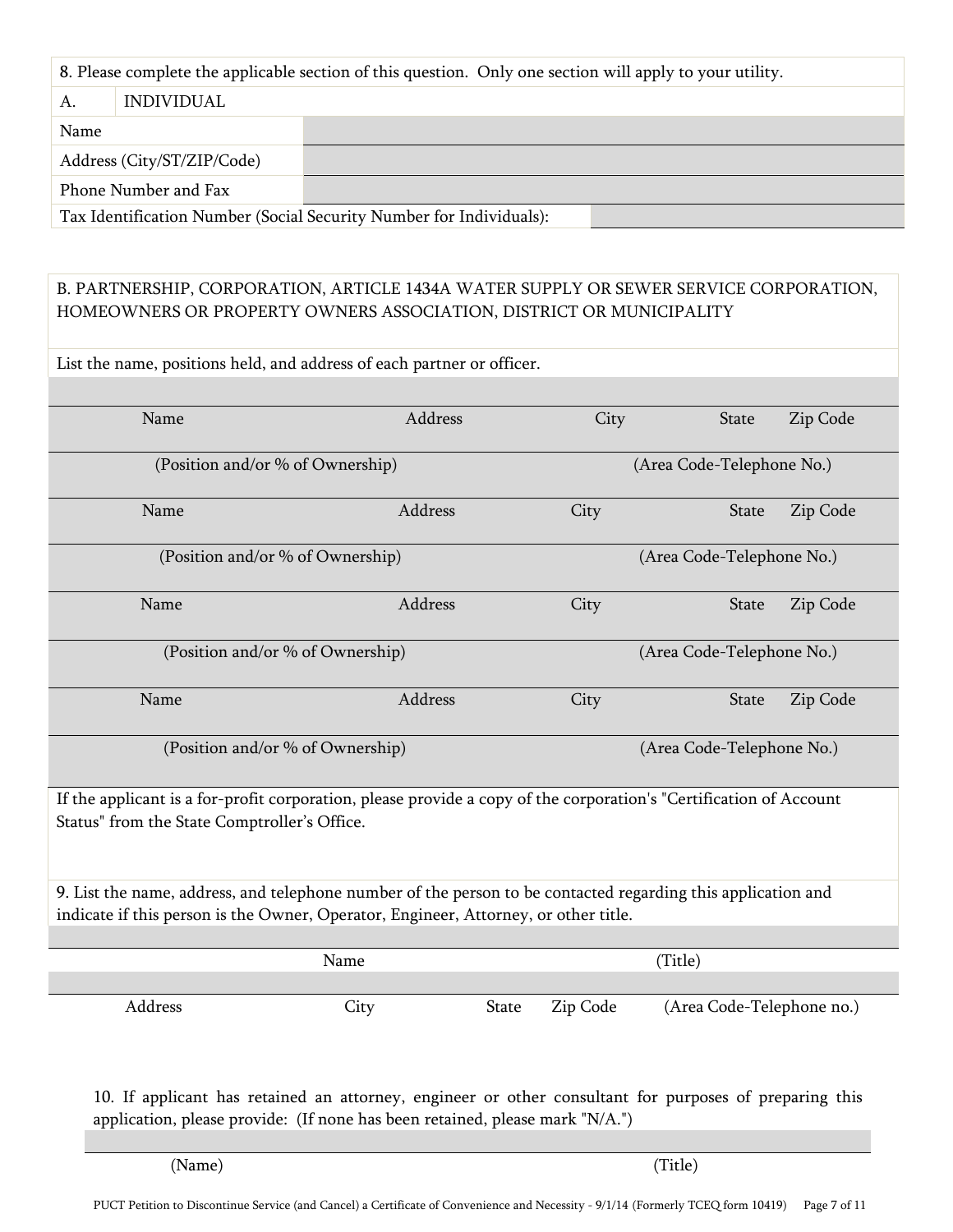|  | 8. Please complete the applicable section of this question. Only one section will apply to your utility. |
|--|----------------------------------------------------------------------------------------------------------|
|  |                                                                                                          |

| А.                   | <i><b>INDIVIDUAL</b></i>   |                                                                    |  |
|----------------------|----------------------------|--------------------------------------------------------------------|--|
| Name                 |                            |                                                                    |  |
|                      | Address (City/ST/ZIP/Code) |                                                                    |  |
| Phone Number and Fax |                            |                                                                    |  |
|                      |                            | Tay Identification Number (Social Security Number for Individuals) |  |

Tax Identification Number (Social Security Number for Individuals):

## B. PARTNERSHIP, CORPORATION, ARTICLE 1434A WATER SUPPLY OR SEWER SERVICE CORPORATION, HOMEOWNERS OR PROPERTY OWNERS ASSOCIATION, DISTRICT OR MUNICIPALITY

List the name, positions held, and address of each partner or officer.

| Name                                         | Address                                                                                                            | City                      | <b>State</b><br>Zip Code  |  |
|----------------------------------------------|--------------------------------------------------------------------------------------------------------------------|---------------------------|---------------------------|--|
|                                              | (Position and/or % of Ownership)                                                                                   |                           | (Area Code-Telephone No.) |  |
| Name                                         | Address                                                                                                            | City                      | Zip Code<br><b>State</b>  |  |
|                                              | (Position and/or % of Ownership)                                                                                   |                           | (Area Code-Telephone No.) |  |
| Name                                         | Address                                                                                                            | City                      | Zip Code<br><b>State</b>  |  |
|                                              | (Position and/or % of Ownership)                                                                                   | (Area Code-Telephone No.) |                           |  |
| Name                                         | Address                                                                                                            | City                      | State<br>Zip Code         |  |
|                                              | (Position and/or % of Ownership)                                                                                   |                           | (Area Code-Telephone No.) |  |
| Status" from the State Comptroller's Office. | If the applicant is a for-profit corporation, please provide a copy of the corporation's "Certification of Account |                           |                           |  |
|                                              | 9. List the name, address, and telephone number of the person to be contacted regarding this application and       |                           |                           |  |
|                                              | indicate if this person is the Owner, Operator, Engineer, Attorney, or other title.                                |                           |                           |  |
|                                              | Name                                                                                                               |                           | (Title)                   |  |
|                                              |                                                                                                                    |                           |                           |  |
| Address                                      | City<br><b>State</b>                                                                                               | Zip Code                  | (Area Code-Telephone no.) |  |

10. If applicant has retained an attorney, engineer or other consultant for purposes of preparing this application, please provide: (If none has been retained, please mark "N/A.")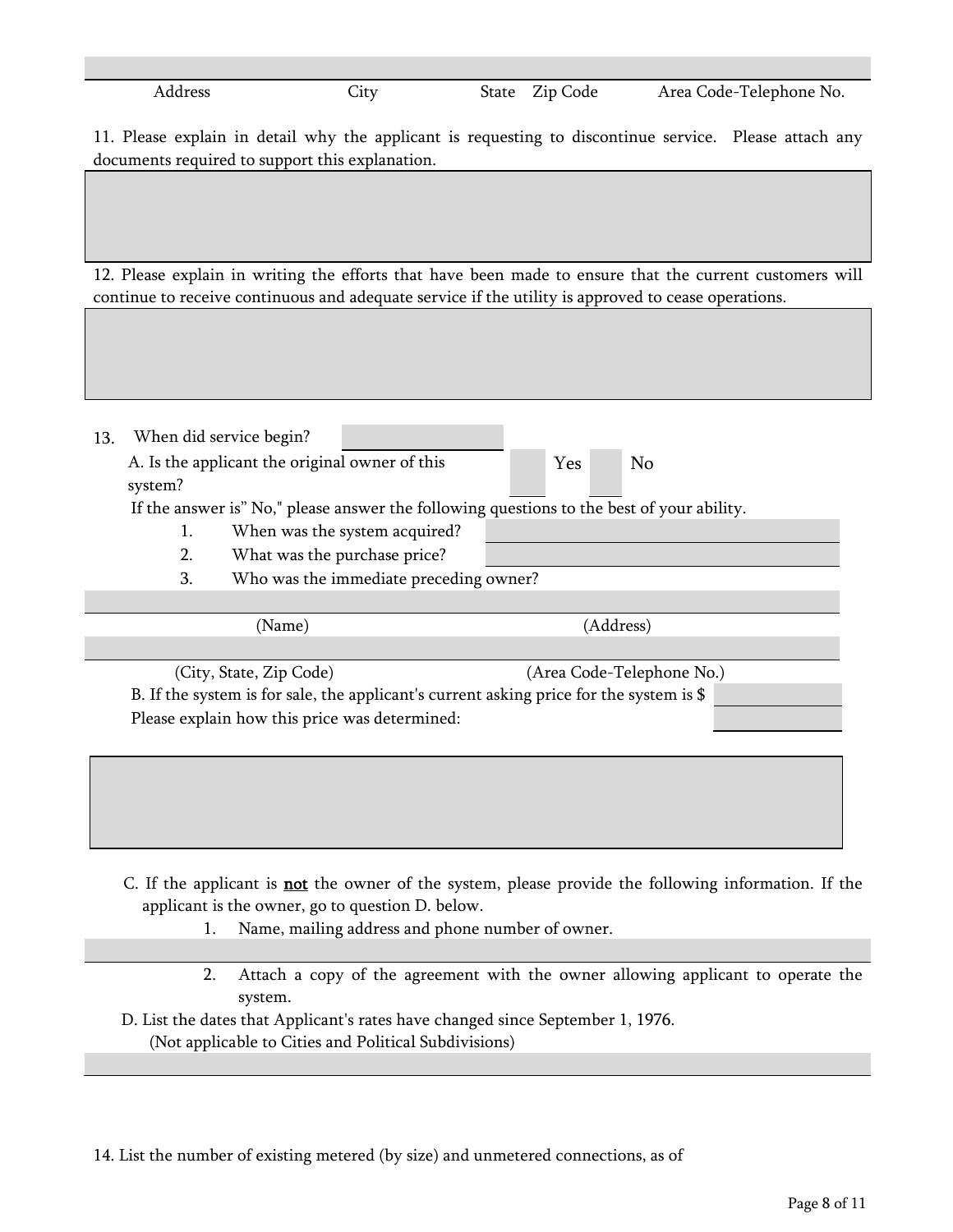| Address | $\mathbf{J}$ | $\sim$<br>State<br>Zip Code | Area Code-Telephone No. |
|---------|--------------|-----------------------------|-------------------------|

11. Please explain in detail why the applicant is requesting to discontinue service. Please attach any documents required to support this explanation.

12. Please explain in writing the efforts that have been made to ensure that the current customers will continue to receive continuous and adequate service if the utility is approved to cease operations.

| 13. |                                                                               | When did service begin?                       |                                                                                           |  |  |                           |  |
|-----|-------------------------------------------------------------------------------|-----------------------------------------------|-------------------------------------------------------------------------------------------|--|--|---------------------------|--|
|     | A. Is the applicant the original owner of this<br><b>Yes</b><br>No<br>system? |                                               |                                                                                           |  |  |                           |  |
|     |                                                                               |                                               | If the answer is" No," please answer the following questions to the best of your ability. |  |  |                           |  |
|     | 1.                                                                            |                                               | When was the system acquired?                                                             |  |  |                           |  |
|     | 2.                                                                            | What was the purchase price?                  |                                                                                           |  |  |                           |  |
|     | 3.                                                                            |                                               | Who was the immediate preceding owner?                                                    |  |  |                           |  |
|     |                                                                               |                                               |                                                                                           |  |  |                           |  |
|     |                                                                               | (Name)                                        |                                                                                           |  |  | (Address)                 |  |
|     |                                                                               |                                               |                                                                                           |  |  |                           |  |
|     |                                                                               | (City, State, Zip Code)                       |                                                                                           |  |  | (Area Code-Telephone No.) |  |
|     |                                                                               |                                               | B. If the system is for sale, the applicant's current asking price for the system is \$   |  |  |                           |  |
|     |                                                                               | Please explain how this price was determined: |                                                                                           |  |  |                           |  |
|     |                                                                               |                                               |                                                                                           |  |  |                           |  |
|     |                                                                               |                                               |                                                                                           |  |  |                           |  |
|     |                                                                               |                                               |                                                                                           |  |  |                           |  |
|     |                                                                               |                                               |                                                                                           |  |  |                           |  |

- C. If the applicant is **not** the owner of the system, please provide the following information. If the applicant is the owner, go to question D. below.
	- 1. Name, mailing address and phone number of owner.
	- 2. Attach a copy of the agreement with the owner allowing applicant to operate the system.
- D. List the dates that Applicant's rates have changed since September 1, 1976. (Not applicable to Cities and Political Subdivisions)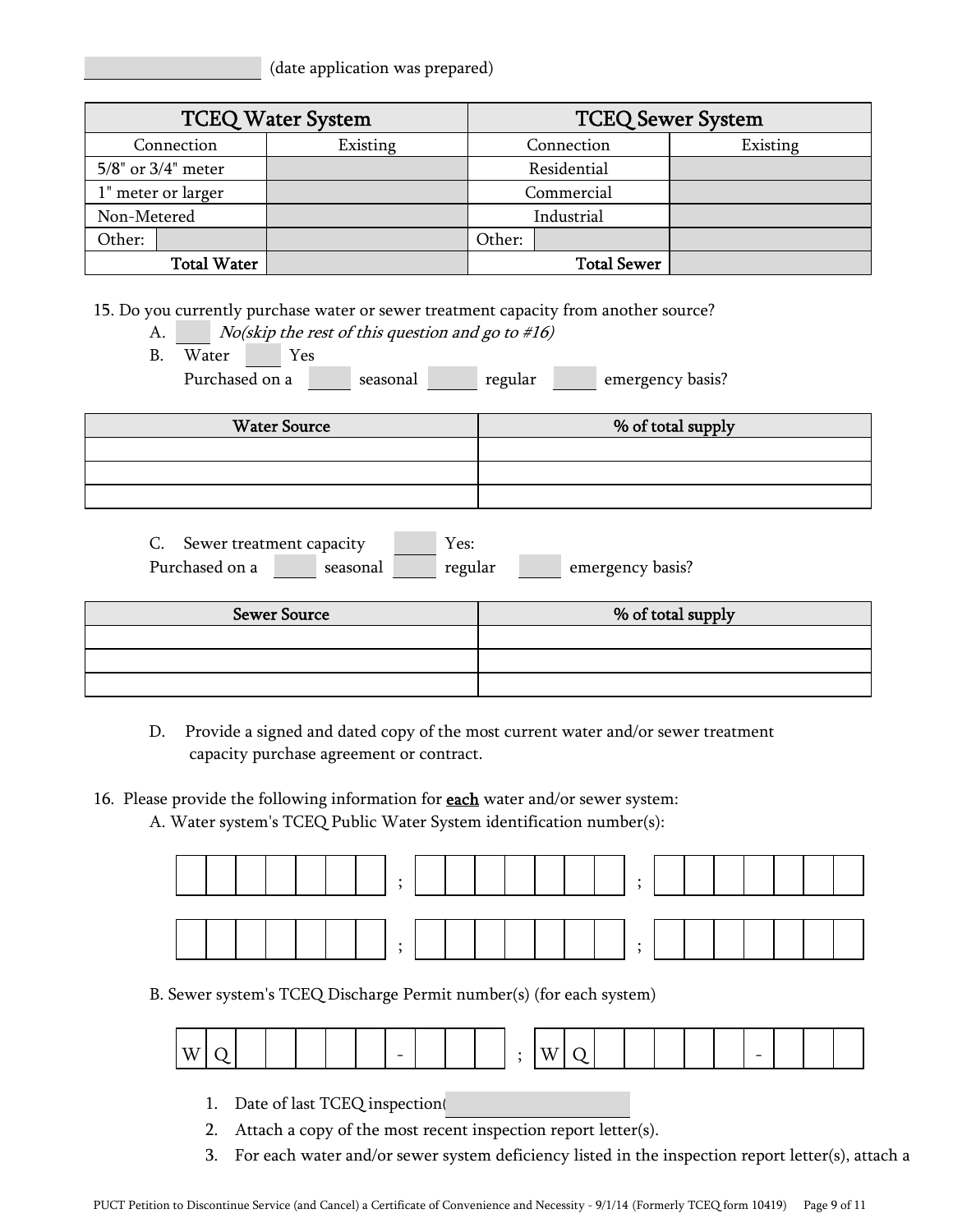(date application was prepared)

|                          | <b>TCEQ Water System</b> |        |                    | <b>TCEQ Sewer System</b> |
|--------------------------|--------------------------|--------|--------------------|--------------------------|
| Connection               | Existing                 |        | Connection         | Existing                 |
| $5/8$ " or $3/4$ " meter |                          |        | Residential        |                          |
| 1" meter or larger       |                          |        | Commercial         |                          |
| Non-Metered              |                          |        | Industrial         |                          |
| Other:                   |                          | Other: |                    |                          |
| <b>Total Water</b>       |                          |        | <b>Total Sewer</b> |                          |

15. Do you currently purchase water or sewer treatment capacity from another source?

- A. *No(skip the rest of this question and go to #16)*
- B. Water Yes Purchased on a seasonal regular emergency basis?

| <b>Water Source</b> | % of total supply |
|---------------------|-------------------|
|                     |                   |
|                     |                   |
|                     |                   |

| Sewer treatment capacity |          | Y es:   |                  |
|--------------------------|----------|---------|------------------|
| Purchased on a           | seasonal | regular | emergency basis? |

| <b>Sewer Source</b> | % of total supply |  |  |  |  |  |
|---------------------|-------------------|--|--|--|--|--|
|                     |                   |  |  |  |  |  |
|                     |                   |  |  |  |  |  |
|                     |                   |  |  |  |  |  |

- D. Provide a signed and dated copy of the most current water and/or sewer treatment capacity purchase agreement or contract.
- 16. Please provide the following information for **each** water and/or sewer system:
	- A. Water system's TCEQ Public Water System identification number(s):



B. Sewer system's TCEQ Discharge Permit number(s) (for each system)

| w<br>$\overline{\phantom{0}}$ |  | v, |  |  |  |  | $-$ |  |  |  |
|-------------------------------|--|----|--|--|--|--|-----|--|--|--|
|-------------------------------|--|----|--|--|--|--|-----|--|--|--|

- 1. Date of last TCEQ inspection(
- 2. Attach a copy of the most recent inspection report letter(s).
- 3. For each water and/or sewer system deficiency listed in the inspection report letter(s), attach a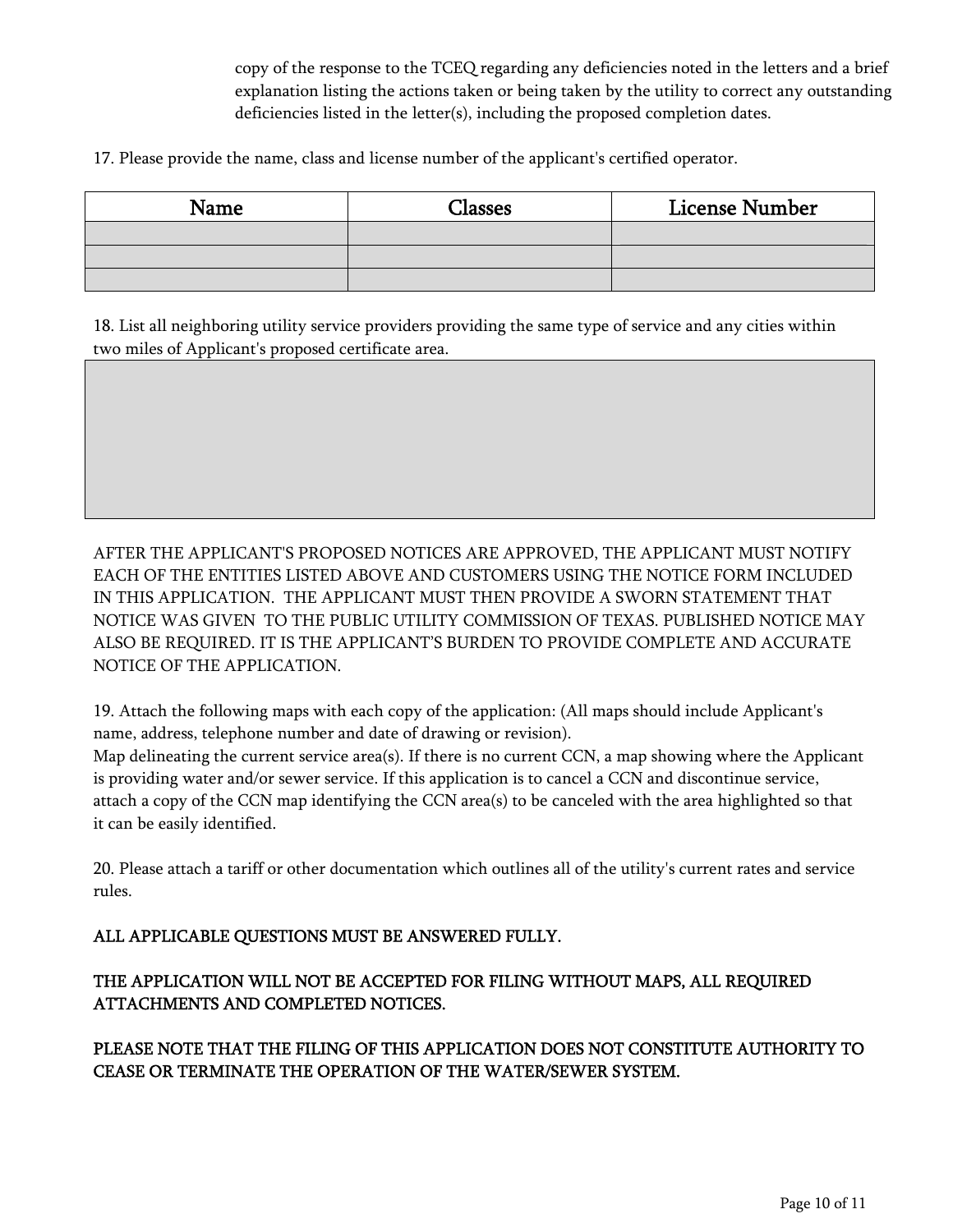copy of the response to the TCEQ regarding any deficiencies noted in the letters and a brief explanation listing the actions taken or being taken by the utility to correct any outstanding deficiencies listed in the letter(s), including the proposed completion dates.

17. Please provide the name, class and license number of the applicant's certified operator.

| Name | Classes | <b>License Number</b> |  |  |  |
|------|---------|-----------------------|--|--|--|
|      |         |                       |  |  |  |
|      |         |                       |  |  |  |
|      |         |                       |  |  |  |

18. List all neighboring utility service providers providing the same type of service and any cities within two miles of Applicant's proposed certificate area.

AFTER THE APPLICANT'S PROPOSED NOTICES ARE APPROVED, THE APPLICANT MUST NOTIFY EACH OF THE ENTITIES LISTED ABOVE AND CUSTOMERS USING THE NOTICE FORM INCLUDED IN THIS APPLICATION. THE APPLICANT MUST THEN PROVIDE A SWORN STATEMENT THAT NOTICE WAS GIVEN TO THE PUBLIC UTILITY COMMISSION OF TEXAS. PUBLISHED NOTICE MAY ALSO BE REQUIRED. IT IS THE APPLICANT'S BURDEN TO PROVIDE COMPLETE AND ACCURATE NOTICE OF THE APPLICATION.

19. Attach the following maps with each copy of the application: (All maps should include Applicant's name, address, telephone number and date of drawing or revision).

Map delineating the current service area(s). If there is no current CCN, a map showing where the Applicant is providing water and/or sewer service. If this application is to cancel a CCN and discontinue service, attach a copy of the CCN map identifying the CCN area(s) to be canceled with the area highlighted so that it can be easily identified.

20. Please attach a tariff or other documentation which outlines all of the utility's current rates and service rules.

ALL APPLICABLE QUESTIONS MUST BE ANSWERED FULLY.

## THE APPLICATION WILL NOT BE ACCEPTED FOR FILING WITHOUT MAPS, ALL REQUIRED ATTACHMENTS AND COMPLETED NOTICES.

PLEASE NOTE THAT THE FILING OF THIS APPLICATION DOES NOT CONSTITUTE AUTHORITY TO CEASE OR TERMINATE THE OPERATION OF THE WATER/SEWER SYSTEM.